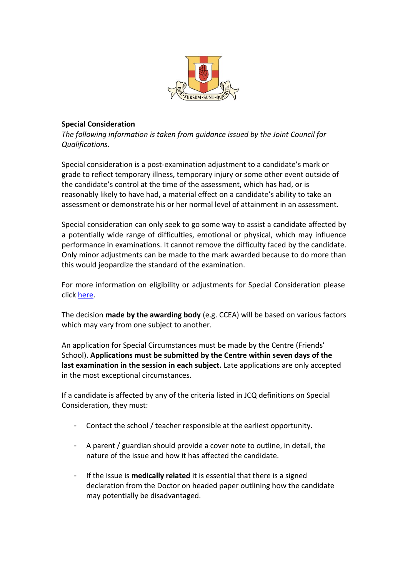

## **Special Consideration**

*The following information is taken from guidance issued by the Joint Council for Qualifications.*

Special consideration is a post-examination adjustment to a candidate's mark or grade to reflect temporary illness, temporary injury or some other event outside of the candidate's control at the time of the assessment, which has had, or is reasonably likely to have had, a material effect on a candidate's ability to take an assessment or demonstrate his or her normal level of attainment in an assessment.

Special consideration can only seek to go some way to assist a candidate affected by a potentially wide range of difficulties, emotional or physical, which may influence performance in examinations. It cannot remove the difficulty faced by the candidate. Only minor adjustments can be made to the mark awarded because to do more than this would jeopardize the standard of the examination.

For more information on eligibility or adjustments for Special Consideration please click [here.](chrome-extension://efaidnbmnnnibpcajpcglclefindmkaj/https:/www.jcq.org.uk/wp-content/uploads/2022/04/A-guide-to-the-special-consideration-process-202122-%E2%80%93-General-and-Vocational-qualifications-Updated-8-April-2022.pdf)

The decision **made by the awarding body** (e.g. CCEA) will be based on various factors which may vary from one subject to another.

An application for Special Circumstances must be made by the Centre (Friends' School). **Applications must be submitted by the Centre within seven days of the last examination in the session in each subject.** Late applications are only accepted in the most exceptional circumstances.

If a candidate is affected by any of the criteria listed in JCQ definitions on Special Consideration, they must:

- Contact the school / teacher responsible at the earliest opportunity.
- A parent / guardian should provide a cover note to outline, in detail, the nature of the issue and how it has affected the candidate.
- If the issue is **medically related** it is essential that there is a signed declaration from the Doctor on headed paper outlining how the candidate may potentially be disadvantaged.